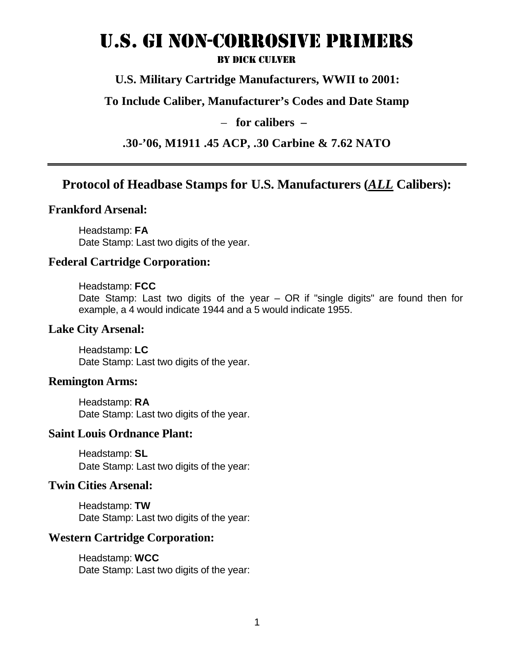# U.S. GI Non-Corrosive Primers

#### By Dick Culver

# **U.S. Military Cartridge Manufacturers, WWII to 2001:**

**To Include Caliber, Manufacturer's Codes and Date Stamp**

#### – **for calibers –**

# **.30-'06, M1911 .45 ACP, .30 Carbine & 7.62 NATO**

# **Protocol of Headbase Stamps for U.S. Manufacturers (***ALL* **Calibers):**

#### **Frankford Arsenal:**

Headstamp: **FA** Date Stamp: Last two digits of the year.

## **Federal Cartridge Corporation:**

Headstamp: **FCC**  Date Stamp: Last two digits of the year – OR if "single digits" are found then for example, a 4 would indicate 1944 and a 5 would indicate 1955.

#### **Lake City Arsenal:**

Headstamp: **LC**  Date Stamp: Last two digits of the year.

#### **Remington Arms:**

Headstamp: **RA** Date Stamp: Last two digits of the year.

#### **Saint Louis Ordnance Plant:**

Headstamp: **SL** Date Stamp: Last two digits of the year:

#### **Twin Cities Arsenal:**

Headstamp: **TW** Date Stamp: Last two digits of the year:

#### **Western Cartridge Corporation:**

Headstamp: **WCC** Date Stamp: Last two digits of the year: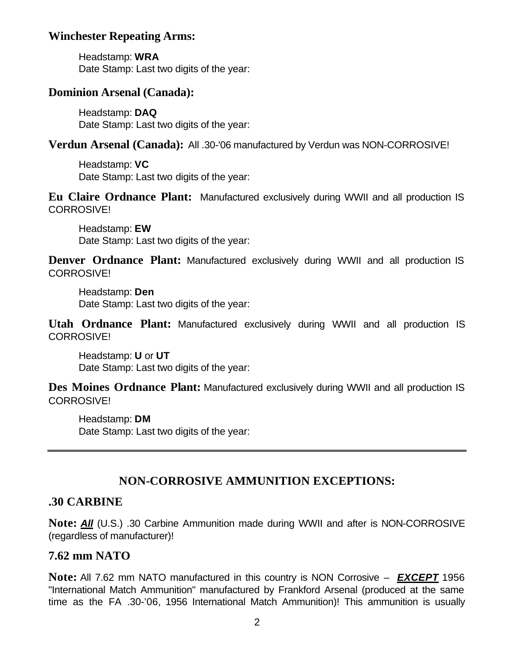# **Winchester Repeating Arms:**

Headstamp: **WRA** Date Stamp: Last two digits of the year:

# **Dominion Arsenal (Canada):**

Headstamp: **DAQ**  Date Stamp: Last two digits of the year:

## **Verdun Arsenal (Canada):** All .30-'06 manufactured by Verdun was NON-CORROSIVE!

Headstamp: **VC** Date Stamp: Last two digits of the year:

**Eu Claire Ordnance Plant:** Manufactured exclusively during WWII and all production IS CORROSIVE!

Headstamp: **EW** Date Stamp: Last two digits of the year:

**Denver Ordnance Plant:** Manufactured exclusively during WWII and all production IS CORROSIVE!

Headstamp: **Den**  Date Stamp: Last two digits of the year:

**Utah Ordnance Plant:** Manufactured exclusively during WWII and all production IS CORROSIVE!

Headstamp: **U** or **UT** Date Stamp: Last two digits of the year:

**Des Moines Ordnance Plant:** Manufactured exclusively during WWII and all production IS CORROSIVE!

Headstamp: **DM** Date Stamp: Last two digits of the year:

# **NON-CORROSIVE AMMUNITION EXCEPTIONS:**

# **.30 CARBINE**

**Note:** *All* (U.S.) .30 Carbine Ammunition made during WWII and after is NON-CORROSIVE (regardless of manufacturer)!

# **7.62 mm NATO**

**Note:** All 7.62 mm NATO manufactured in this country is NON Corrosive – *EXCEPT* 1956 "International Match Ammunition" manufactured by Frankford Arsenal (produced at the same time as the FA .30-'06, 1956 International Match Ammunition)! This ammunition is usually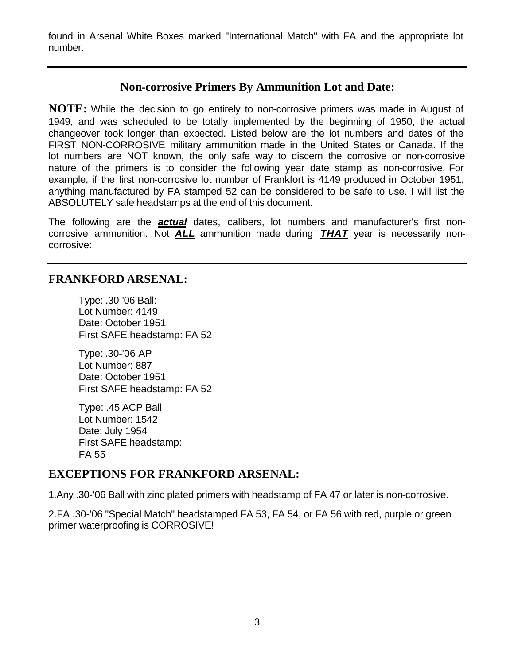found in Arsenal White Boxes marked "International Match" with FA and the appropriate lot number.

# **Non-corrosive Primers By Ammunition Lot and Date:**

**NOTE:** While the decision to go entirely to non-corrosive primers was made in August of 1949, and was scheduled to be totally implemented by the beginning of 1950, the actual changeover took longer than expected. Listed below are the lot numbers and dates of the FIRST NON-CORROSIVE military ammunition made in the United States or Canada. If the lot numbers are NOT known, the only safe way to discern the corrosive or non-corrosive nature of the primers is to consider the following year date stamp as non-corrosive. For example, if the first non-corrosive lot number of Frankfort is 4149 produced in October 1951, anything manufactured by FA stamped 52 can be considered to be safe to use. I will list the ABSOLUTELY safe headstamps at the end of this document.

The following are the *actual* dates, calibers, lot numbers and manufacturer's first noncorrosive ammunition. Not *ALL* ammunition made during *THAT* year is necessarily noncorrosive:

#### **FRANKFORD ARSENAL:**

Type: .30-'06 Ball: Lot Number: 4149 Date: October 1951 First SAFE headstamp: FA 52

Type: .30-'06 AP Lot Number: 887 Date: October 1951 First SAFE headstamp: FA 52

Type: .45 ACP Ball Lot Number: 1542 Date: July 1954 First SAFE headstamp: FA 55

# **EXCEPTIONS FOR FRANKFORD ARSENAL:**

1.Any .30-'06 Ball with zinc plated primers with headstamp of FA 47 or later is non-corrosive.

2.FA .30-'06 "Special Match" headstamped FA 53, FA 54, or FA 56 with red, purple or green primer waterproofing is CORROSIVE!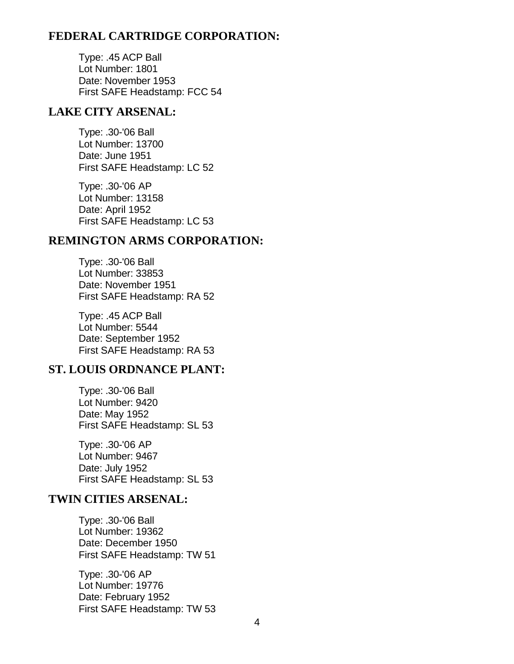# **FEDERAL CARTRIDGE CORPORATION:**

Type: .45 ACP Ball Lot Number: 1801 Date: November 1953 First SAFE Headstamp: FCC 54

#### **LAKE CITY ARSENAL:**

Type: .30-'06 Ball Lot Number: 13700 Date: June 1951 First SAFE Headstamp: LC 52

Type: .30-'06 AP Lot Number: 13158 Date: April 1952 First SAFE Headstamp: LC 53

## **REMINGTON ARMS CORPORATION:**

Type: .30-'06 Ball Lot Number: 33853 Date: November 1951 First SAFE Headstamp: RA 52

Type: .45 ACP Ball Lot Number: 5544 Date: September 1952 First SAFE Headstamp: RA 53

## **ST. LOUIS ORDNANCE PLANT:**

Type: .30-'06 Ball Lot Number: 9420 Date: May 1952 First SAFE Headstamp: SL 53

Type: .30-'06 AP Lot Number: 9467 Date: July 1952 First SAFE Headstamp: SL 53

# **TWIN CITIES ARSENAL:**

Type: .30-'06 Ball Lot Number: 19362 Date: December 1950 First SAFE Headstamp: TW 51

Type: .30-'06 AP Lot Number: 19776 Date: February 1952 First SAFE Headstamp: TW 53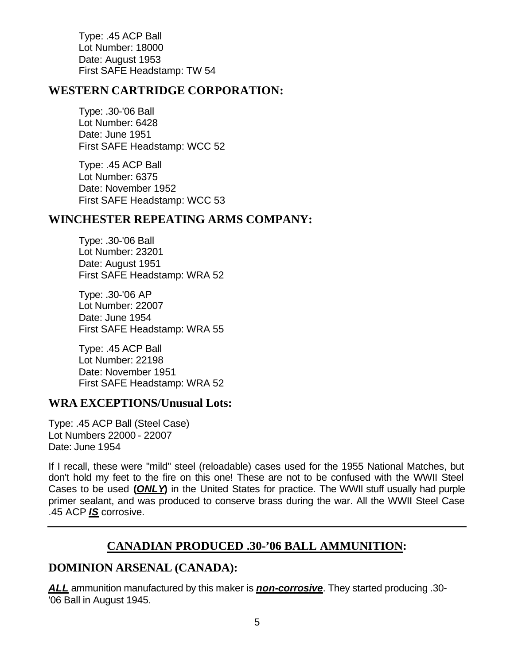Type: .45 ACP Ball Lot Number: 18000 Date: August 1953 First SAFE Headstamp: TW 54

## **WESTERN CARTRIDGE CORPORATION:**

Type: .30-'06 Ball Lot Number: 6428 Date: June 1951 First SAFE Headstamp: WCC 52

Type: .45 ACP Ball Lot Number: 6375 Date: November 1952 First SAFE Headstamp: WCC 53

#### **WINCHESTER REPEATING ARMS COMPANY:**

Type: .30-'06 Ball Lot Number: 23201 Date: August 1951 First SAFE Headstamp: WRA 52

Type: .30-'06 AP Lot Number: 22007 Date: June 1954 First SAFE Headstamp: WRA 55

Type: .45 ACP Ball Lot Number: 22198 Date: November 1951 First SAFE Headstamp: WRA 52

# **WRA EXCEPTIONS/Unusual Lots:**

Type: .45 ACP Ball (Steel Case) Lot Numbers 22000 - 22007 Date: June 1954

If I recall, these were "mild" steel (reloadable) cases used for the 1955 National Matches, but don't hold my feet to the fire on this one! These are not to be confused with the WWII Steel Cases to be used **(***ONLY***)** in the United States for practice. The WWII stuff usually had purple primer sealant, and was produced to conserve brass during the war. All the WWII Steel Case .45 ACP *IS* corrosive.

# **CANADIAN PRODUCED .30-'06 BALL AMMUNITION:**

#### **DOMINION ARSENAL (CANADA):**

*ALL* ammunition manufactured by this maker is *non-corrosive*. They started producing .30- '06 Ball in August 1945.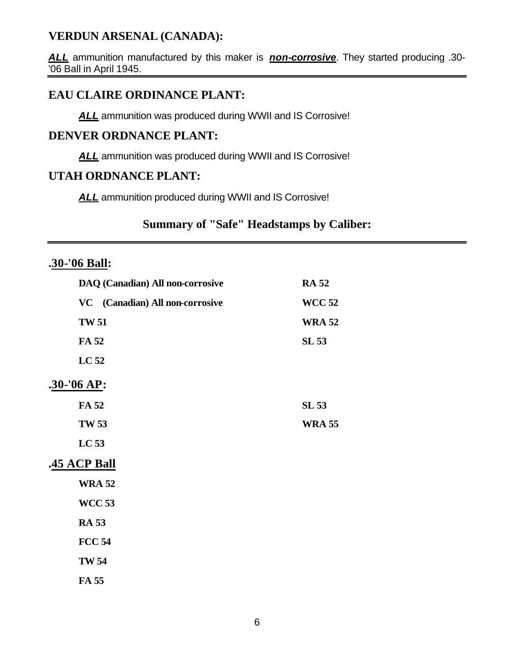# **VERDUN ARSENAL (CANADA):**

*ALL* ammunition manufactured by this maker is *non-corrosive*. They started producing .30- '06 Ball in April 1945.

# **EAU CLAIRE ORDINANCE PLANT:**

*ALL* ammunition was produced during WWII and IS Corrosive!

#### **DENVER ORDNANCE PLANT:**

*ALL* ammunition was produced during WWII and IS Corrosive!

## **UTAH ORDNANCE PLANT:**

*ALL* ammunition produced during WWII and IS Corrosive!

# **Summary of "Safe" Headstamps by Caliber:**

# **.30-'06 Ball:**

| DAQ (Canadian) All non-corrosive | <b>RA 52</b>  |
|----------------------------------|---------------|
| VC (Canadian) All non-corrosive  | <b>WCC 52</b> |
| <b>TW 51</b>                     | <b>WRA 52</b> |
| FA 52                            | <b>SL 53</b>  |
| LC 52                            |               |
| $.30 - 06 AP$                    |               |
| FA 52                            | SL 53         |
| <b>TW 53</b>                     | <b>WRA 55</b> |
| LC <sub>53</sub>                 |               |
| <b>.45 ACP Ball</b>              |               |
| <b>WRA 52</b>                    |               |
| <b>WCC 53</b>                    |               |
| <b>RA 53</b>                     |               |
| <b>FCC 54</b>                    |               |
| <b>TW 54</b>                     |               |
| FA 55                            |               |
|                                  |               |